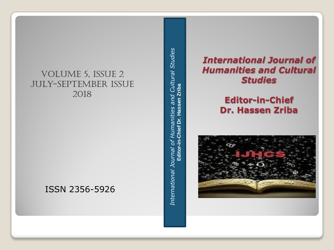## Volume 5, Issue 2 July-September issue 2018

## ISSN 2356 -5926

International Journal of Humanities and Cultural Studies<br>Editor-in-Chief Dr. Hassen Zriba *International Journal of Humanities and Cultural Studies* **Editor-in-Chief Dr. Hassen Zriba**

## *International Journal of Humanities and Cultural Studies*

## **Editor -in -Chief Dr. Hassen Zriba**

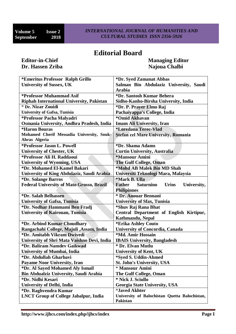## **Editorial Board**

# **Dr. Hassen Zriba Najoua Chalbi Najoua Chalbi**

**Editor-in-Chief Managing Editor** 

| *Emeritus Professor Ralph Grillo                 | *Dr. Syed Zamanat Abbas                                          |
|--------------------------------------------------|------------------------------------------------------------------|
| <b>University of Sussex, UK</b>                  | Salman Bin Abdulaziz University, Saudi                           |
|                                                  | <b>Arabia</b>                                                    |
| *Professor Muhammad Asif                         | *Dr. Santosh Kumar Behera                                        |
| <b>Riphah International University, Pakistan</b> | Sidho-Kanho-Birsha University, India                             |
| * Dr. Nizar Zouidi                               | *Dr. P. Prayer Elmo Raj                                          |
| <b>University of Gafsa, Tunisia</b>              | Pachaiyappa's College, India                                     |
| *Professor Pacha Malyadri                        | *Omid Akhavan                                                    |
| Osmania University, Andhra Pradesh, India        | <b>Imam Ali University, Iran</b>                                 |
| <i><b>*Haron Bouras</b></i>                      | <i><b>*Loredana Terec-Vlad</b></i>                               |
| Mohamed Cherif Messadia University, Souk-        | Stefan cel Mare University, Romania                              |
| Ahras Algeria                                    |                                                                  |
| *Professor Jason L. Powell                       | *Dr. Shama Adams                                                 |
| <b>University of Chester, UK</b>                 | <b>Curtin University, Australia</b>                              |
| *Professor Ali H. Raddaoui                       | *Mansour Amini                                                   |
| <b>University of Wyoming, USA</b>                | <b>The Gulf College, Oman</b>                                    |
| *Dr. Mohamed El-Kamel Bakari                     | *Mohd AB Malek Bin MD Shah                                       |
| University of King Abdulaziz, Saudi Arabia       | Universiti Teknologi Mara, Malaysia                              |
| *Dr. Solange Barros                              | *Mark B. Ulla                                                    |
| <b>Federal University of Mato Grosso, Brazil</b> | <b>Father</b><br><b>Saturnino</b><br><b>Urios</b><br>University, |
|                                                  | <b>Philipinnes</b>                                               |
| *Dr. Salah Belhassen                             | * Dr. Anouar Bennani                                             |
| <b>University of Gafsa, Tunisia</b>              | <b>University of Sfax, Tunisia</b>                               |
| *Dr. Nodhar Hammami Ben Fradj                    | *Shuv Raj Rana Bhat                                              |
| <b>University of Kairouan, Tunisia</b>           | Central Department of English Kirtipur,                          |
|                                                  | Kathmandu, Nepal                                                 |
| *Dr. Arbind Kumar Choudhary                      | *Erika Ashley Couto                                              |
| Rangachahi College, Majuli , Assam, India        | <b>University of Concordia, Canada</b>                           |
| *Dr. Amitabh Vikram Dwivedi                      | *Md. Amir Hossain                                                |
| University of Shri Mata Vaishno Devi, India      | <b>IBAIS University, Bangladesh</b>                              |
| *Dr. Baliram Namdev Gaikwad                      | * Dr. Elvan Mutlu                                                |
| <b>University of Mumbai, India</b>               | <b>University of Kent, UK</b>                                    |
| *Dr. Abdullah Gharbavi                           | *Syed S. Uddin-Ahmed                                             |
| <b>Payame Noor University, Iran</b>              | <b>St. John's University, USA</b>                                |
| *Dr. Al Sayed Mohamed Aly Ismail                 | * Mansour Amini                                                  |
| <b>Bin Abdualziz University, Saudi Arabia</b>    | The Gulf College, Oman                                           |
| *Dr. Nidhi Kesari                                | * Nick J. Sciullo                                                |
| <b>University of Delhi, India</b>                | <b>Georgia State University, USA</b>                             |
| *Dr. Raghvendra Kumar                            | <i><b>*Javed Akhter</b></i>                                      |
| <b>LNCT Group of College Jabalpur, India</b>     | University of Balochistan Quetta Balochistan,                    |
|                                                  | <b>Pakistan</b>                                                  |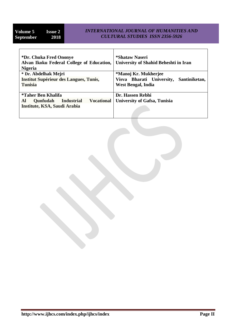#### *INTERNATIONAL JOURNAL OF HUMANITIES AND CULTURAL STUDIES ISSN 2356-5926*

| *Dr. Chuka Fred Ononye<br>Alvan Ikoku Federal College of Education,<br><b>Nigeria</b> | *Shataw Naseri<br>University of Shahid Beheshti in Iran |
|---------------------------------------------------------------------------------------|---------------------------------------------------------|
| * Dr. Abdelhak Mejri                                                                  | *Manoj Kr. Mukherjee                                    |
| <b>Institut Supérieur des Langues, Tunis,</b>                                         | Visva Bharati University,<br>Santiniketan,              |
| <b>Tunisia</b>                                                                        | West Bengal, India                                      |
|                                                                                       |                                                         |
| <i><b>*Taher Ben Khalifa</b></i>                                                      | Dr. Hassen Rebhi                                        |
| <b>Vocational</b><br>Al<br><b>Qunfudah</b><br><b>Industrial</b>                       | <b>University of Gafsa, Tunisia</b>                     |
| Institute, KSA, Saudi Arabia                                                          |                                                         |
|                                                                                       |                                                         |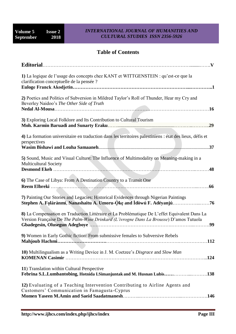#### *INTERNATIONAL JOURNAL OF HUMANITIES AND CULTURAL STUDIES ISSN 2356-5926*

### **Table of Contents**

| 1) La logique de l'usage des concepts chez KANT et WITTGENSTEIN : qu'est-ce que la<br>clarification conceptuelle de la pensée ?                                                                |
|------------------------------------------------------------------------------------------------------------------------------------------------------------------------------------------------|
| 2) Poetics and Politics of Subversion in Mildred Taylor's Roll of Thunder, Hear my Cry and<br>Beverley Naidoo's The Other Side of Truth                                                        |
| 3) Exploring Local Folklore and Its Contribution to Cultural Tourism                                                                                                                           |
| 4) La formation universitaire en traduction dans les territoires palestiniens : état des lieux, défis et<br>perspectives                                                                       |
| 5) Sound, Music and Visual Culture: The Influence of Multimodality on Meaning-making in a<br><b>Multicultural Society</b>                                                                      |
| 6) The Case of Libya: From A Destination Country to a Transit One                                                                                                                              |
| 7) Painting Our Stories and Legacies: Historical Evidences through Nigerian Paintings<br>Stephen A. Folárànmí, Nanashaitu A. Umoru-Òkę and Ìdòwú F. Adéyanjú                                   |
| 8) La Compensation en Traduction Littéraire et La Problématique De L'effet Equivalent Dans La<br>Version Française De The Palm-Wine Drinkard (L'ivrogne Dans La Brousse) D'amos Tutuola<br>.99 |
| 9) Women in Early Gothic fiction: From submissive females to Subversive Rebels                                                                                                                 |
| 10) Multilingualism as a Writing Device in J. M. Coetzee's Disgrace and Slow Man                                                                                                               |
| 11) Translation within Cultural Perspective<br>Febrina S.L.Lumbantobing, Hotnida I.Simanjuntak and M. Husnan Lubis138                                                                          |
| 12) Evaluating of a Teaching Intervention Contributing to Airline Agents and<br>Customers' Communication in Famagusta-Cyprus                                                                   |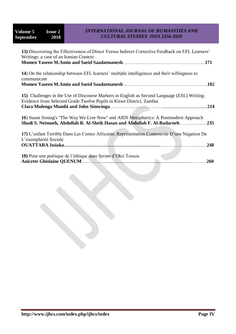#### *INTERNATIONAL JOURNAL OF HUMANITIES AND CULTURAL STUDIES ISSN 2356-5926*

| 13) Discovering the Effectiveness of Direct Versus Indirect Corrective Feedback on EFL Learners'<br>Writings: a case of an Iranian Context                          |
|---------------------------------------------------------------------------------------------------------------------------------------------------------------------|
|                                                                                                                                                                     |
| 14) On the relationship between EFL learners' multiple intelligences and their willingness to<br>communicate                                                        |
|                                                                                                                                                                     |
| 15) Challenges in the Use of Discourse Markers in English as Second Language (ESL) Writing:<br>Evidence from Selected Grade Twelve Pupils in Kitwe District, Zambia |
| 16) Susan Sontag's "The Way We Live Now" and AIDS Metaphorics: A Postmodern Approach<br>Shadi S. Neimneh, Abdullah B. Al-Sheik Hasan and Abdullah F. Al-Badarneh235 |
| 17) L'enfant Terrible Dans Les Contes Africains: Représentation Controuvée D'une Négation De<br>L'exemplarité Sociale<br>.248                                       |
| 18) Pour une poétique de l'éthique dans Syram d'Okri Tossou<br>.260                                                                                                 |